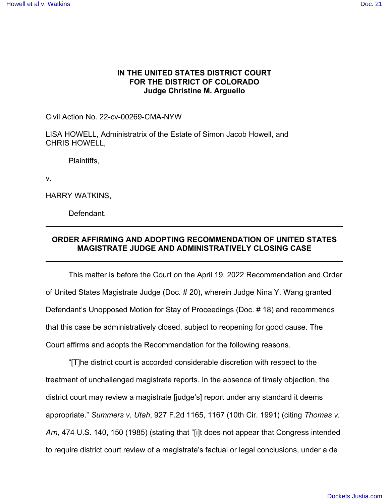## **IN THE UNITED STATES DISTRICT COURT FOR THE DISTRICT OF COLORADO Judge Christine M. Arguello**

Civil Action No. 22-cv-00269-CMA-NYW

LISA HOWELL, Administratrix of the Estate of Simon Jacob Howell, and CHRIS HOWELL,

Plaintiffs,

v.

HARRY WATKINS,

**Defendant** 

## **ORDER AFFIRMING AND ADOPTING RECOMMENDATION OF UNITED STATES MAGISTRATE JUDGE AND ADMINISTRATIVELY CLOSING CASE**

This matter is before the Court on the April 19, 2022 Recommendation and Order of United States Magistrate Judge (Doc. # 20), wherein Judge Nina Y. Wang granted Defendant's Unopposed Motion for Stay of Proceedings (Doc. # 18) and recommends that this case be administratively closed, subject to reopening for good cause. The Court affirms and adopts the Recommendation for the following reasons.

"[T]he district court is accorded considerable discretion with respect to the treatment of unchallenged magistrate reports. In the absence of timely objection, the district court may review a magistrate [judge's] report under any standard it deems appropriate." *Summers v. Utah*, 927 F.2d 1165, 1167 (10th Cir. 1991) (citing *Thomas v. Arn*, 474 U.S. 140, 150 (1985) (stating that "[i]t does not appear that Congress intended to require district court review of a magistrate's factual or legal conclusions, under a de